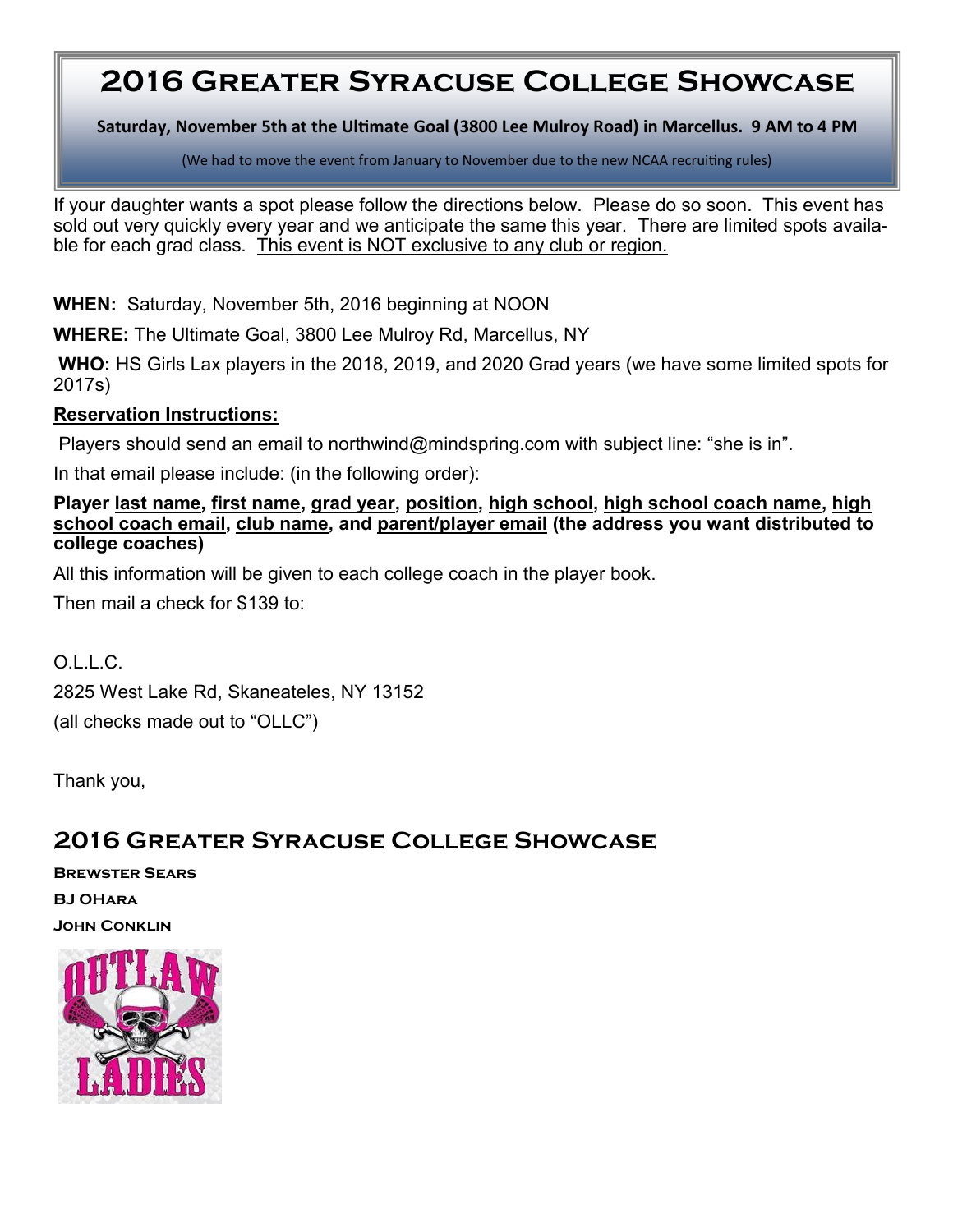## **2016 Greater Syracuse College Showcase**

**Saturday, November 5th at the Ultimate Goal (3800 Lee Mulroy Road) in Marcellus. 9 AM to 4 PM**

(We had to move the event from January to November due to the new NCAA recruiting rules)

If your daughter wants a spot please follow the directions below. Please do so soon. This event has sold out very quickly every year and we anticipate the same this year. There are limited spots available for each grad class. This event is NOT exclusive to any club or region.

**WHEN:** Saturday, November 5th, 2016 beginning at NOON

**WHERE:** The Ultimate Goal, 3800 Lee Mulroy Rd, Marcellus, NY

**WHO:** HS Girls Lax players in the 2018, 2019, and 2020 Grad years (we have some limited spots for 2017s)

## **Reservation Instructions:**

Players should send an email to northwind@mindspring.com with subject line: "she is in".

In that email please include: (in the following order):

## **Player last name, first name, grad year, position, high school, high school coach name, high school coach email, club name, and parent/player email (the address you want distributed to college coaches)**

All this information will be given to each college coach in the player book.

Then mail a check for \$139 to:

O.L.L.C. 2825 West Lake Rd, Skaneateles, NY 13152 (all checks made out to "OLLC")

Thank you,

## **2016 Greater Syracuse College Showcase**

**Brewster Sears BJ OHara John Conklin**